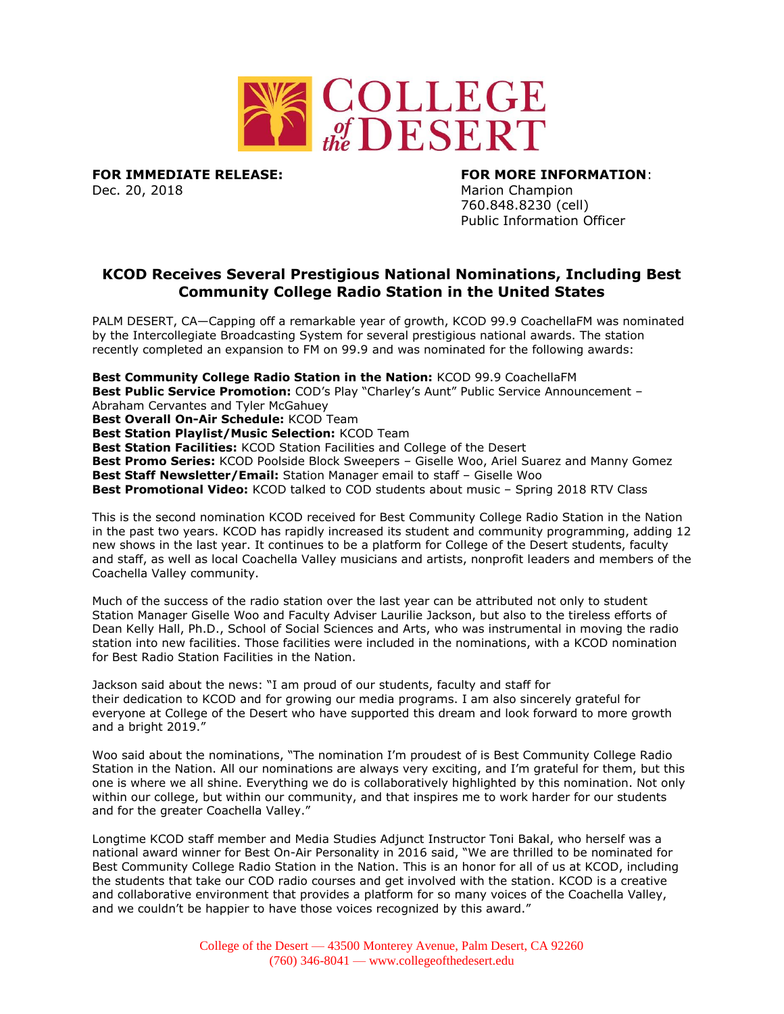

**FOR IMMEDIATE RELEASE: FOR MORE INFORMATION**:

Dec. 20, 2018 Marion Champion 760.848.8230 (cell) Public Information Officer

## **KCOD Receives Several Prestigious National Nominations, Including Best Community College Radio Station in the United States**

PALM DESERT, CA—Capping off a remarkable year of growth, KCOD 99.9 CoachellaFM was nominated by the Intercollegiate Broadcasting System for several prestigious national awards. The station recently completed an expansion to FM on 99.9 and was nominated for the following awards:

**Best Community College Radio Station in the Nation:** KCOD 99.9 CoachellaFM **Best Public Service Promotion:** COD's Play "Charley's Aunt" Public Service Announcement – Abraham Cervantes and Tyler McGahuey **Best Overall On-Air Schedule:** KCOD Team **Best Station Playlist/Music Selection:** KCOD Team **Best Station Facilities:** KCOD Station Facilities and College of the Desert **Best Promo Series:** KCOD Poolside Block Sweepers – Giselle Woo, Ariel Suarez and Manny Gomez **Best Staff Newsletter/Email:** Station Manager email to staff – Giselle Woo **Best Promotional Video:** KCOD talked to COD students about music – Spring 2018 RTV Class This is the second nomination KCOD received for Best Community College Radio Station in the Nation

in the past two years. KCOD has rapidly increased its student and community programming, adding 12 new shows in the last year. It continues to be a platform for College of the Desert students, faculty and staff, as well as local Coachella Valley musicians and artists, nonprofit leaders and members of the Coachella Valley community.

Much of the success of the radio station over the last year can be attributed not only to student Station Manager Giselle Woo and Faculty Adviser Laurilie Jackson, but also to the tireless efforts of Dean Kelly Hall, Ph.D., School of Social Sciences and Arts, who was instrumental in moving the radio station into new facilities. Those facilities were included in the nominations, with a KCOD nomination for Best Radio Station Facilities in the Nation.

Jackson said about the news: "I am proud of our students, faculty and staff for their dedication to KCOD and for growing our media programs. I am also sincerely grateful for everyone at College of the Desert who have supported this dream and look forward to more growth and a bright 2019."

Woo said about the nominations, "The nomination I'm proudest of is Best Community College Radio Station in the Nation. All our nominations are always very exciting, and I'm grateful for them, but this one is where we all shine. Everything we do is collaboratively highlighted by this nomination. Not only within our college, but within our community, and that inspires me to work harder for our students and for the greater Coachella Valley."

Longtime KCOD staff member and Media Studies Adjunct Instructor Toni Bakal, who herself was a national award winner for Best On-Air Personality in 2016 said, "We are thrilled to be nominated for Best Community College Radio Station in the Nation. This is an honor for all of us at KCOD, including the students that take our COD radio courses and get involved with the station. KCOD is a creative and collaborative environment that provides a platform for so many voices of the Coachella Valley, and we couldn't be happier to have those voices recognized by this award."